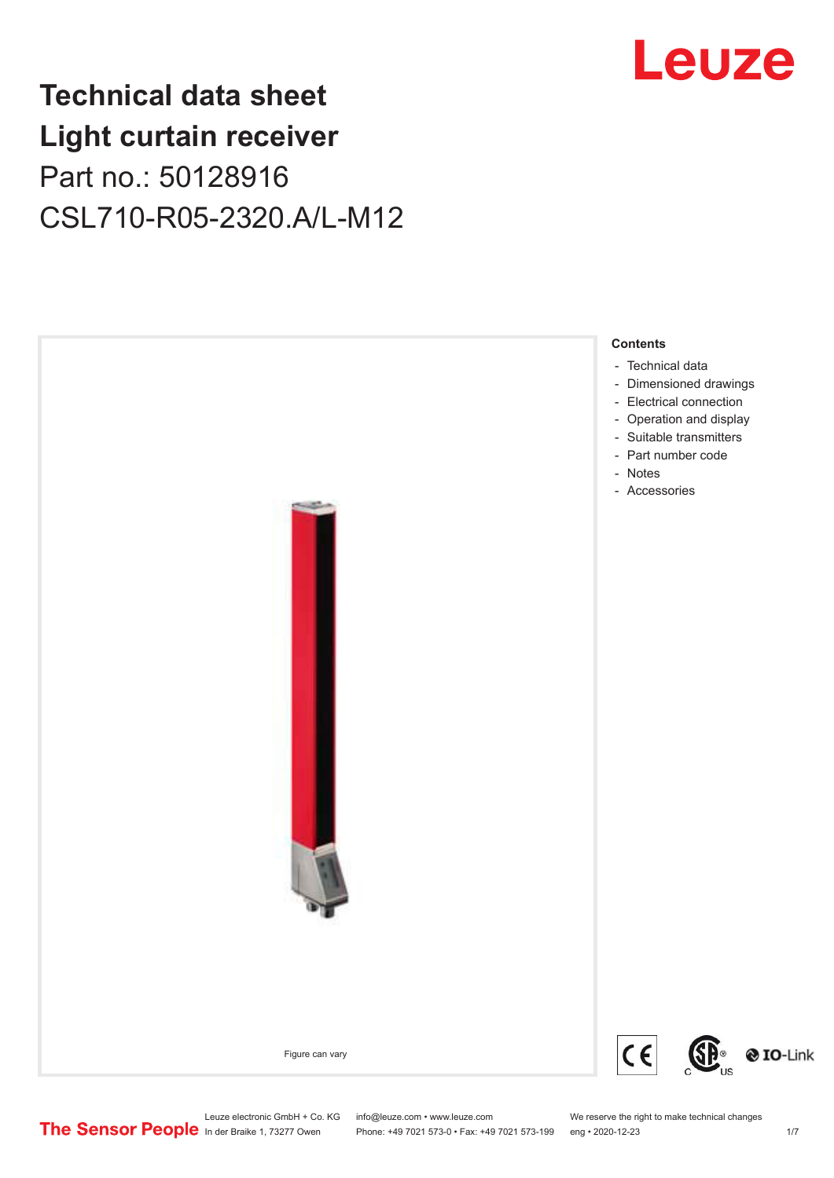## **Technical data sheet Light curtain receiver** Part no.: 50128916 CSL710-R05-2320.A/L-M12



Leuze electronic GmbH + Co. KG info@leuze.com • www.leuze.com We reserve the right to make technical changes<br>
The Sensor People in der Braike 1, 73277 Owen Phone: +49 7021 573-0 • Fax: +49 7021 573-199 eng • 2020-12-23

## Leuze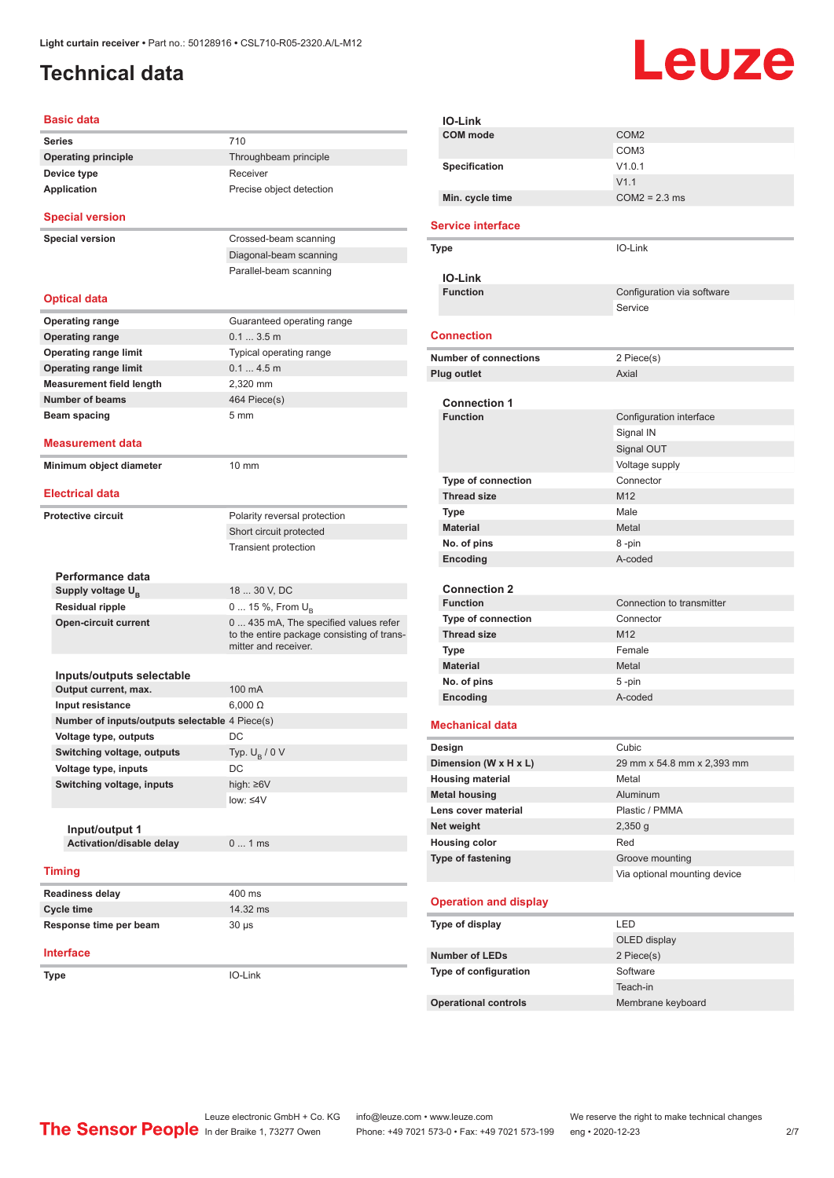## <span id="page-1-0"></span>**Technical data**

# Leuze

| 710<br>Throughbeam principle<br>Receiver<br>Precise object detection<br>Crossed-beam scanning<br>Diagonal-beam scanning<br>Parallel-beam scanning<br>Guaranteed operating range |
|---------------------------------------------------------------------------------------------------------------------------------------------------------------------------------|
|                                                                                                                                                                                 |
|                                                                                                                                                                                 |
|                                                                                                                                                                                 |
|                                                                                                                                                                                 |
|                                                                                                                                                                                 |
|                                                                                                                                                                                 |
|                                                                                                                                                                                 |
|                                                                                                                                                                                 |
|                                                                                                                                                                                 |
|                                                                                                                                                                                 |
| 0.13.5m                                                                                                                                                                         |
| Typical operating range                                                                                                                                                         |
| 0.14.5m                                                                                                                                                                         |
| 2,320 mm                                                                                                                                                                        |
| 464 Piece(s)                                                                                                                                                                    |
| 5 <sub>mm</sub>                                                                                                                                                                 |
|                                                                                                                                                                                 |
|                                                                                                                                                                                 |
| $10 \text{ mm}$                                                                                                                                                                 |
|                                                                                                                                                                                 |
| Polarity reversal protection                                                                                                                                                    |
| Short circuit protected                                                                                                                                                         |
| <b>Transient protection</b>                                                                                                                                                     |
|                                                                                                                                                                                 |
| 18  30 V, DC                                                                                                                                                                    |
|                                                                                                                                                                                 |
| 0  15 %, From U <sub>B</sub><br>0  435 mA, The specified values refer                                                                                                           |
| to the entire package consisting of trans-<br>mitter and receiver.                                                                                                              |
|                                                                                                                                                                                 |
|                                                                                                                                                                                 |
| 100 mA                                                                                                                                                                          |
| $6,000 \Omega$                                                                                                                                                                  |
| Number of inputs/outputs selectable 4 Piece(s)                                                                                                                                  |
| DC                                                                                                                                                                              |
| Typ. $U_B / 0 V$                                                                                                                                                                |
| DC                                                                                                                                                                              |
| high: ≥6V                                                                                                                                                                       |
| low: $\leq 4V$                                                                                                                                                                  |
|                                                                                                                                                                                 |
| 01ms                                                                                                                                                                            |
|                                                                                                                                                                                 |
|                                                                                                                                                                                 |
| 400 ms                                                                                                                                                                          |
| 14.32 ms                                                                                                                                                                        |
| 30 µs                                                                                                                                                                           |
|                                                                                                                                                                                 |
|                                                                                                                                                                                 |
|                                                                                                                                                                                 |

| <b>IO-Link</b>               |                              |
|------------------------------|------------------------------|
| COM mode                     | COM <sub>2</sub>             |
|                              | COM <sub>3</sub>             |
| Specification                | V1.0.1                       |
|                              | V1.1                         |
| Min. cycle time              | $COM2 = 2.3$ ms              |
| <b>Service interface</b>     |                              |
| <b>Type</b>                  | IO-Link                      |
| <b>IO-Link</b>               |                              |
| <b>Function</b>              | Configuration via software   |
|                              | Service                      |
| <b>Connection</b>            |                              |
| <b>Number of connections</b> | 2 Piece(s)                   |
| Plug outlet                  | Axial                        |
|                              |                              |
| <b>Connection 1</b>          |                              |
| <b>Function</b>              | Configuration interface      |
|                              | Signal IN                    |
|                              | Signal OUT                   |
|                              | Voltage supply               |
| <b>Type of connection</b>    | Connector                    |
| <b>Thread size</b>           | M <sub>12</sub><br>Male      |
| Type<br><b>Material</b>      | Metal                        |
| No. of pins                  | 8-pin                        |
| Encoding                     | A-coded                      |
|                              |                              |
| <b>Connection 2</b>          |                              |
| <b>Function</b>              | Connection to transmitter    |
| <b>Type of connection</b>    | Connector                    |
| <b>Thread size</b>           | M <sub>12</sub>              |
| Type                         | Female                       |
| <b>Material</b>              | Metal                        |
| No. of pins                  | 5-pin                        |
| Encoding                     | A-coded                      |
| <b>Mechanical data</b>       |                              |
| Design                       | Cubic                        |
| Dimension (W x H x L)        | 29 mm x 54.8 mm x 2,393 mm   |
| <b>Housing material</b>      | Metal                        |
| <b>Metal housing</b>         | Aluminum                     |
| Lens cover material          | Plastic / PMMA               |
| Net weight                   | 2,350 g                      |
| <b>Housing color</b>         | Red                          |
| Type of fastening            | Groove mounting              |
|                              | Via optional mounting device |
| <b>Operation and display</b> |                              |
| Type of display              | LED                          |
|                              | OLED display                 |
| <b>Number of LEDs</b>        | 2 Piece(s)                   |
| Type of configuration        | Software                     |
|                              | Teach-in                     |
| <b>Operational controls</b>  | Membrane keyboard            |
|                              |                              |

Leuze electronic GmbH + Co. KG info@leuze.com • www.leuze.com We reserve the right to make technical changes In der Braike 1, 73277 Owen Phone: +49 7021 573-0 • Fax: +49 7021 573-199 eng • 2020-12-23 2/7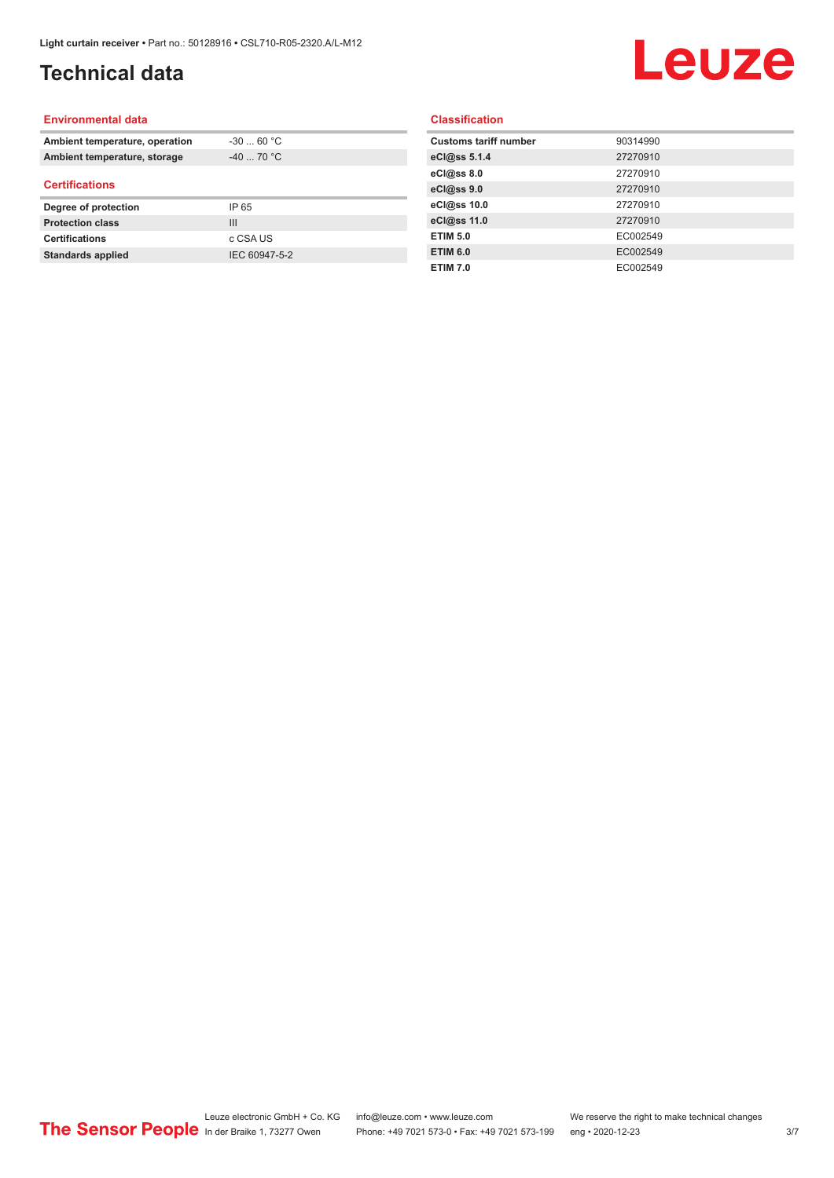## **Technical data**

## Leuze

#### **Environmental data**

| Ambient temperature, operation | $-30$ 60 °C    |  |
|--------------------------------|----------------|--|
| Ambient temperature, storage   | $-40$ 70 °C    |  |
| <b>Certifications</b>          |                |  |
| Degree of protection           | IP 65          |  |
| <b>Protection class</b>        | $\mathbf{III}$ |  |
| <b>Certifications</b>          | c CSA US       |  |
| <b>Standards applied</b>       | IEC 60947-5-2  |  |

#### **Classification**

| <b>Customs tariff number</b> | 90314990 |
|------------------------------|----------|
| eCl@ss 5.1.4                 | 27270910 |
| eCl@ss 8.0                   | 27270910 |
| eCl@ss 9.0                   | 27270910 |
| eCl@ss 10.0                  | 27270910 |
| eCl@ss 11.0                  | 27270910 |
| <b>ETIM 5.0</b>              | EC002549 |
| <b>ETIM 6.0</b>              | EC002549 |
| <b>ETIM 7.0</b>              | EC002549 |
|                              |          |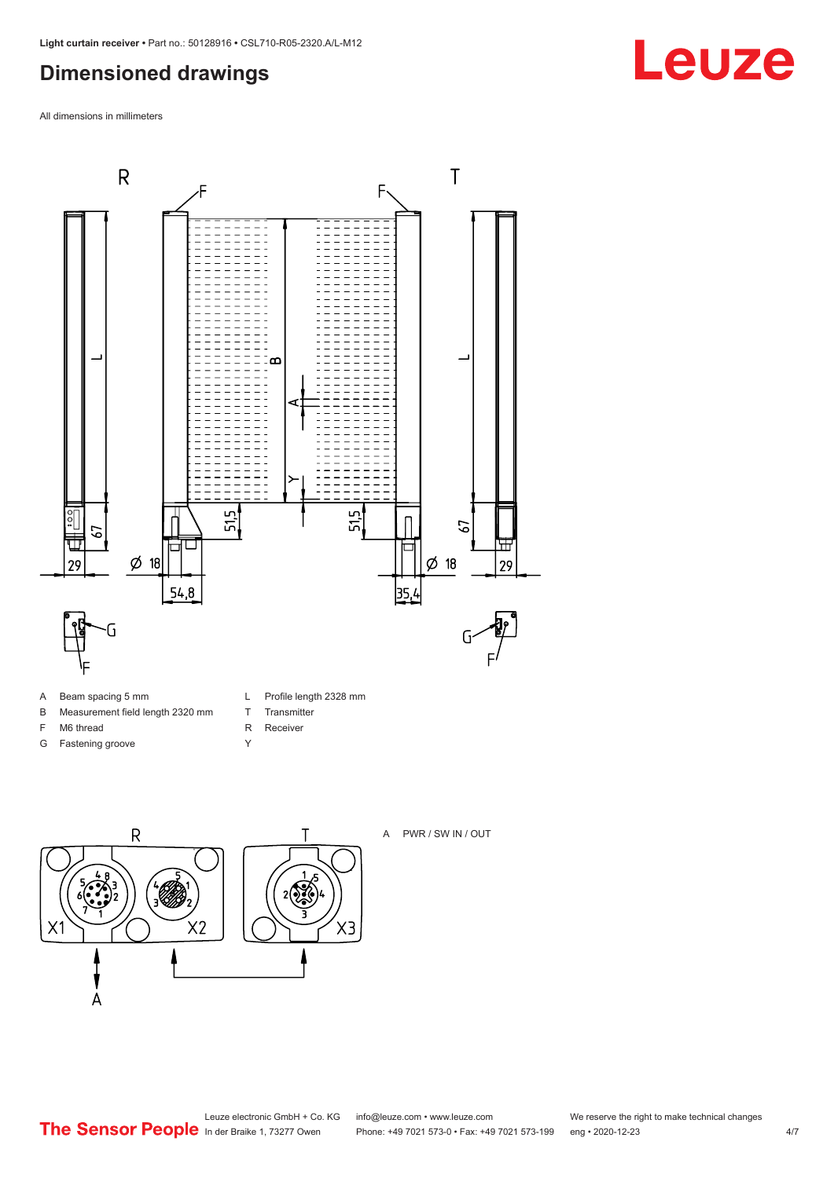### <span id="page-3-0"></span>**Dimensioned drawings**

All dimensions in millimeters



- A Beam spacing 5 mm
- B Measurement field length 2320 mm
- F M6 thread
- G Fastening groove
- L Profile length 2328 mm
- T Transmitter
- R Receiver
- Y





A PWR / SW IN / OUT

Leuze electronic GmbH + Co. KG info@leuze.com • www.leuze.com We reserve the right to make technical changes<br>
The Sensor People in der Braike 1, 73277 Owen Phone: +49 7021 573-0 • Fax: +49 7021 573-199 eng • 2020-12-23

Phone: +49 7021 573-0 • Fax: +49 7021 573-199 eng • 2020-12-23 4/7

## **Leuze**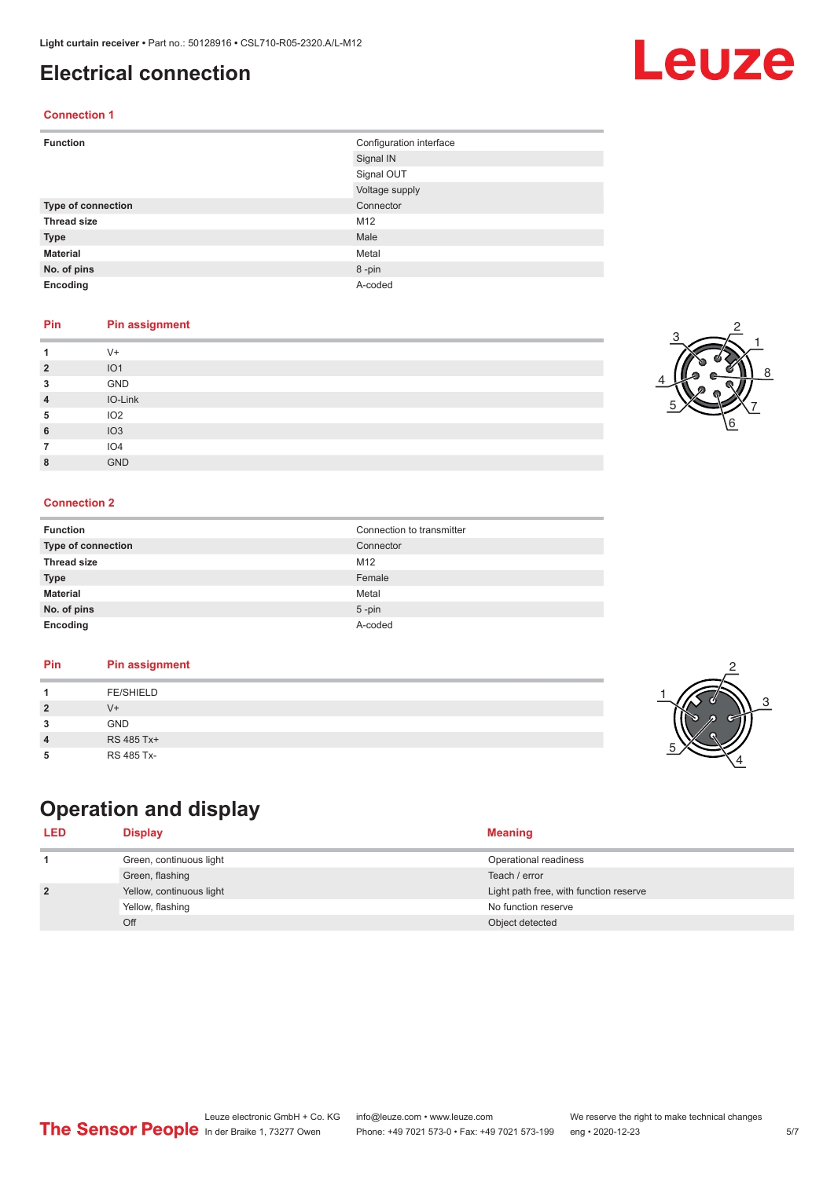### <span id="page-4-0"></span>**Electrical connection**

#### **Connection 1**

| <b>Function</b>           | Configuration interface |
|---------------------------|-------------------------|
|                           | Signal IN               |
|                           | Signal OUT              |
|                           | Voltage supply          |
| <b>Type of connection</b> | Connector               |
| <b>Thread size</b>        | M12                     |
| <b>Type</b>               | Male                    |
| <b>Material</b>           | Metal                   |
| No. of pins               | 8-pin                   |
| Encoding                  | A-coded                 |

#### **Pin Pin assignment**

|                | $V +$           |
|----------------|-----------------|
| $\overline{2}$ | IO <sub>1</sub> |
| 3              | GND             |
| $\overline{4}$ | IO-Link         |
| 5              | IO <sub>2</sub> |
| 6              | IO3             |
|                | IO4             |
| 8              | <b>GND</b>      |

#### **Connection 2**

| <b>Function</b>           | Connection to transmitter |
|---------------------------|---------------------------|
| <b>Type of connection</b> | Connector                 |
| <b>Thread size</b>        | M <sub>12</sub>           |
| <b>Type</b>               | Female                    |
| <b>Material</b>           | Metal                     |
| No. of pins               | $5$ -pin                  |
| Encoding                  | A-coded                   |

#### **Pin Pin assignment**

|--|

## **Operation and display**

| <b>LED</b>     | Display                  | <b>Meaning</b>                         |
|----------------|--------------------------|----------------------------------------|
|                | Green, continuous light  | Operational readiness                  |
|                | Green, flashing          | Teach / error                          |
| $\overline{2}$ | Yellow, continuous light | Light path free, with function reserve |
|                | Yellow, flashing         | No function reserve                    |
|                | Off                      | Object detected                        |



2



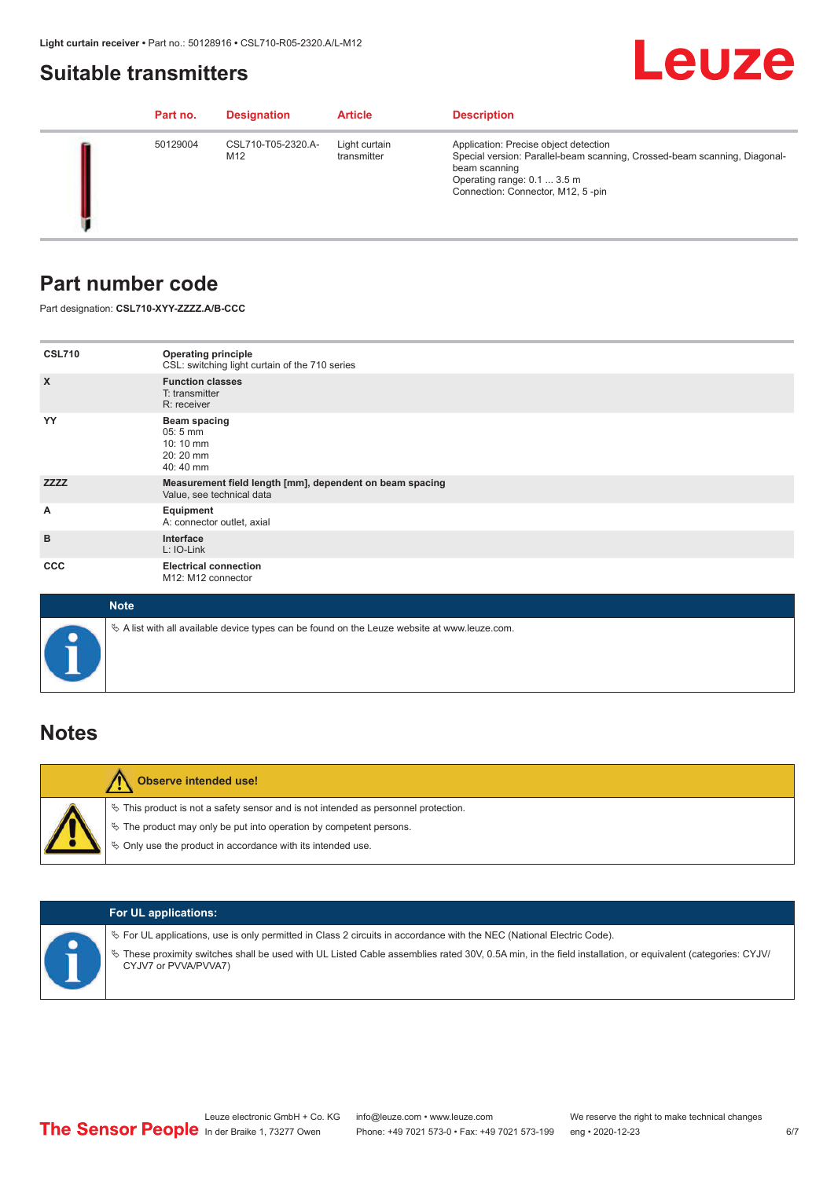### <span id="page-5-0"></span>**Suitable transmitters**

## Leuze

|  | Part no. | <b>Designation</b>        | <b>Article</b>               | <b>Description</b>                                                                                                                                                                                      |
|--|----------|---------------------------|------------------------------|---------------------------------------------------------------------------------------------------------------------------------------------------------------------------------------------------------|
|  | 50129004 | CSL710-T05-2320.A-<br>M12 | Light curtain<br>transmitter | Application: Precise object detection<br>Special version: Parallel-beam scanning, Crossed-beam scanning, Diagonal-<br>beam scanning<br>Operating range: 0.1  3.5 m<br>Connection: Connector, M12, 5-pin |

### **Part number code**

Part designation: **CSL710-XYY-ZZZZ.A/B-CCC**

| <b>CSL710</b>             | <b>Operating principle</b><br>CSL: switching light curtain of the 710 series               |
|---------------------------|--------------------------------------------------------------------------------------------|
| $\boldsymbol{\mathsf{X}}$ | <b>Function classes</b><br>T: transmitter<br>R: receiver                                   |
| YY                        | <b>Beam spacing</b><br>$05:5 \, \text{mm}$<br>$10:10 \, \text{mm}$<br>20:20 mm<br>40:40 mm |
| <b>ZZZZ</b>               | Measurement field length [mm], dependent on beam spacing<br>Value, see technical data      |
| Α                         | Equipment<br>A: connector outlet, axial                                                    |
| B                         | Interface<br>L: IO-Link                                                                    |
| <b>CCC</b>                | <b>Electrical connection</b><br>M12: M12 connector                                         |

| <b>Note</b>                                                                                       |
|---------------------------------------------------------------------------------------------------|
| Vector A list with all available device types can be found on the Leuze website at www.leuze.com. |

### **Notes**

| <b>Observe intended use!</b>                                                                                                                                                                                                     |
|----------------------------------------------------------------------------------------------------------------------------------------------------------------------------------------------------------------------------------|
| $\%$ This product is not a safety sensor and is not intended as personnel protection.<br>$\%$ The product may only be put into operation by competent persons.<br>$\%$ Only use the product in accordance with its intended use. |

|  | <b>For UL applications:</b>                                                                                                                                                                                                                                                                   |
|--|-----------------------------------------------------------------------------------------------------------------------------------------------------------------------------------------------------------------------------------------------------------------------------------------------|
|  | $\%$ For UL applications, use is only permitted in Class 2 circuits in accordance with the NEC (National Electric Code).<br>These proximity switches shall be used with UL Listed Cable assemblies rated 30V, 0.5A min, in the field installation, or equivalent (categories: CYJV/<br>$\phi$ |
|  | CYJV7 or PVVA/PVVA7)                                                                                                                                                                                                                                                                          |